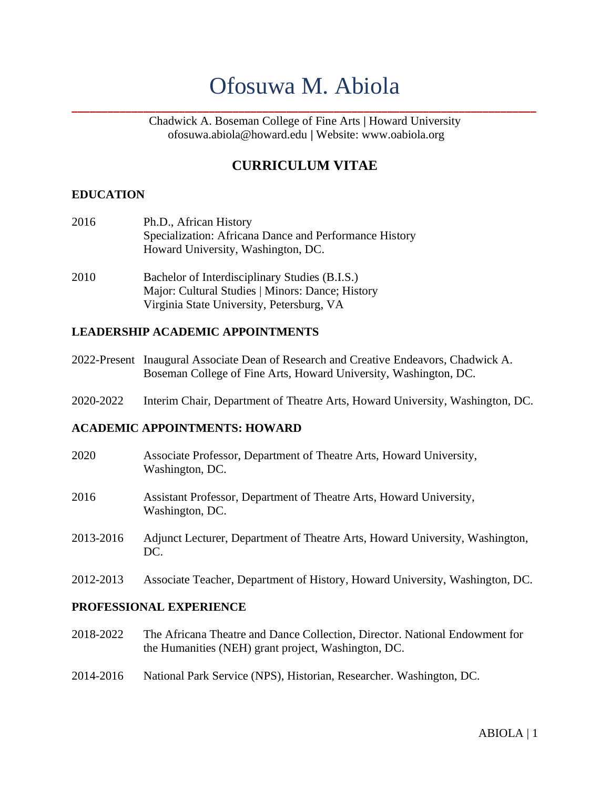# Ofosuwa M. Abiola

**\_\_\_\_\_\_\_\_\_\_\_\_\_\_\_\_\_\_\_\_\_\_\_\_\_\_\_\_\_\_\_\_\_\_\_\_\_\_\_\_\_\_\_\_\_\_\_\_\_\_\_\_\_\_\_\_\_\_\_\_\_\_\_\_\_\_\_\_\_\_\_\_\_\_\_\_\_\_**

Chadwick A. Boseman College of Fine Arts **|** Howard University [ofosuwa.abiola@howard.edu](mailto:aaraujo@howard.edu) **|** Website: [www.oabiola.org](http://www.oabiola.org/)

# **CURRICULUM VITAE**

#### **EDUCATION**

- 2016 Ph.D., African History Specialization: Africana Dance and Performance History Howard University, Washington, DC.
- 2010 Bachelor of Interdisciplinary Studies (B.I.S.) Major: Cultural Studies | Minors: Dance; History Virginia State University, Petersburg, VA

#### **LEADERSHIP ACADEMIC APPOINTMENTS**

- 2022-Present Inaugural Associate Dean of Research and Creative Endeavors, Chadwick A. Boseman College of Fine Arts, Howard University, Washington, DC.
- 2020-2022 Interim Chair, Department of Theatre Arts, Howard University, Washington, DC.

#### **ACADEMIC APPOINTMENTS: HOWARD**

- 2020 Associate Professor, Department of Theatre Arts, Howard University, Washington, DC.
- 2016 Assistant Professor, Department of Theatre Arts, Howard University, Washington, DC.
- 2013-2016 Adjunct Lecturer, Department of Theatre Arts, Howard University, Washington, DC.
- 2012-2013 Associate Teacher, Department of History, Howard University, Washington, DC.

#### **PROFESSIONAL EXPERIENCE**

- 2018-2022 The Africana Theatre and Dance Collection, Director. National Endowment for the Humanities (NEH) grant project, Washington, DC.
- 2014-2016 National Park Service (NPS), Historian, Researcher. Washington, DC.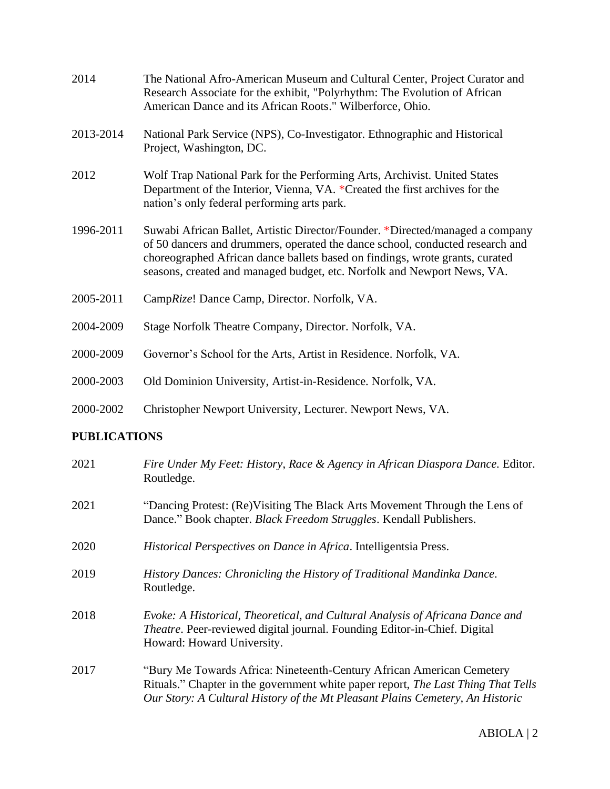| 2014      | The National Afro-American Museum and Cultural Center, Project Curator and<br>Research Associate for the exhibit, "Polyrhythm: The Evolution of African<br>American Dance and its African Roots." Wilberforce, Ohio.                                                                                                      |
|-----------|---------------------------------------------------------------------------------------------------------------------------------------------------------------------------------------------------------------------------------------------------------------------------------------------------------------------------|
| 2013-2014 | National Park Service (NPS), Co-Investigator. Ethnographic and Historical<br>Project, Washington, DC.                                                                                                                                                                                                                     |
| 2012      | Wolf Trap National Park for the Performing Arts, Archivist. United States<br>Department of the Interior, Vienna, VA. *Created the first archives for the<br>nation's only federal performing arts park.                                                                                                                   |
| 1996-2011 | Suwabi African Ballet, Artistic Director/Founder. *Directed/managed a company<br>of 50 dancers and drummers, operated the dance school, conducted research and<br>choreographed African dance ballets based on findings, wrote grants, curated<br>seasons, created and managed budget, etc. Norfolk and Newport News, VA. |
| 2005-2011 | CampRize! Dance Camp, Director. Norfolk, VA.                                                                                                                                                                                                                                                                              |
| 2004-2009 | Stage Norfolk Theatre Company, Director. Norfolk, VA.                                                                                                                                                                                                                                                                     |
| 2000-2009 | Governor's School for the Arts, Artist in Residence. Norfolk, VA.                                                                                                                                                                                                                                                         |
| 2000-2003 | Old Dominion University, Artist-in-Residence. Norfolk, VA.                                                                                                                                                                                                                                                                |
| 2000-2002 | Christopher Newport University, Lecturer. Newport News, VA.                                                                                                                                                                                                                                                               |
|           |                                                                                                                                                                                                                                                                                                                           |

#### **PUBLICATIONS**

| 2021 | Fire Under My Feet: History, Race & Agency in African Diaspora Dance. Editor.<br>Routledge.                                                                                                                                                 |
|------|---------------------------------------------------------------------------------------------------------------------------------------------------------------------------------------------------------------------------------------------|
| 2021 | "Dancing Protest: (Re) Visiting The Black Arts Movement Through the Lens of<br>Dance." Book chapter. Black Freedom Struggles. Kendall Publishers.                                                                                           |
| 2020 | Historical Perspectives on Dance in Africa. Intelligentsia Press.                                                                                                                                                                           |
| 2019 | History Dances: Chronicling the History of Traditional Mandinka Dance.<br>Routledge.                                                                                                                                                        |
| 2018 | Evoke: A Historical, Theoretical, and Cultural Analysis of Africana Dance and<br><i>Theatre.</i> Peer-reviewed digital journal. Founding Editor-in-Chief. Digital<br>Howard: Howard University.                                             |
| 2017 | "Bury Me Towards Africa: Nineteenth-Century African American Cemetery<br>Rituals." Chapter in the government white paper report, The Last Thing That Tells<br>Our Story: A Cultural History of the Mt Pleasant Plains Cemetery, An Historic |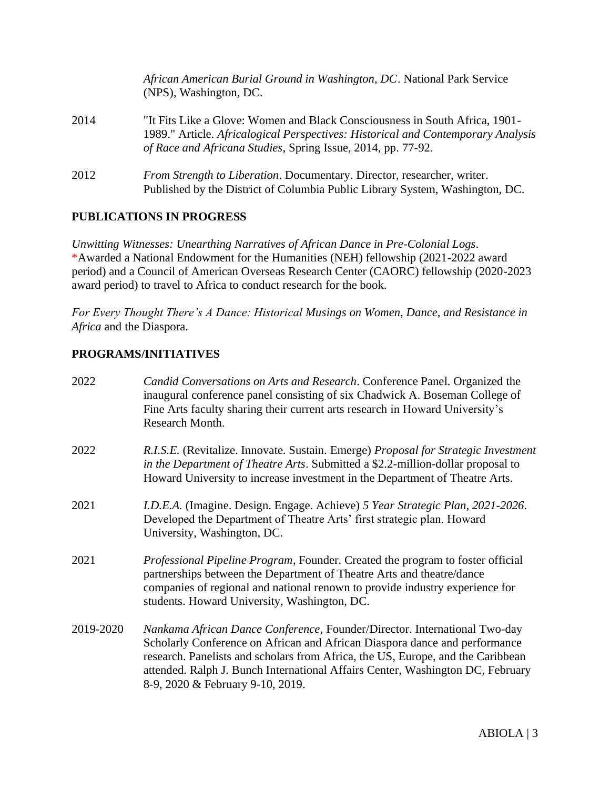|      | African American Burial Ground in Washington, DC. National Park Service<br>(NPS), Washington, DC.                                                                                                                               |
|------|---------------------------------------------------------------------------------------------------------------------------------------------------------------------------------------------------------------------------------|
| 2014 | "It Fits Like a Glove: Women and Black Consciousness in South Africa, 1901–<br>1989." Article. Africalogical Perspectives: Historical and Contemporary Analysis<br>of Race and Africana Studies, Spring Issue, 2014, pp. 77-92. |
| 2012 | From Strength to Liberation. Documentary. Director, researcher, writer.<br>Published by the District of Columbia Public Library System, Washington, DC.                                                                         |

#### **PUBLICATIONS IN PROGRESS**

*Unwitting Witnesses: Unearthing Narratives of African Dance in Pre-Colonial Logs*. \*Awarded a National Endowment for the Humanities (NEH) fellowship (2021-2022 award period) and a Council of American Overseas Research Center (CAORC) fellowship (2020-2023 award period) to travel to Africa to conduct research for the book.

*For Every Thought There's A Dance: Historical Musings on Women, Dance, and Resistance in Africa* and the Diaspora.

### **PROGRAMS/INITIATIVES**

| 2022      | Candid Conversations on Arts and Research. Conference Panel. Organized the<br>inaugural conference panel consisting of six Chadwick A. Boseman College of<br>Fine Arts faculty sharing their current arts research in Howard University's<br>Research Month.                                                                                                     |
|-----------|------------------------------------------------------------------------------------------------------------------------------------------------------------------------------------------------------------------------------------------------------------------------------------------------------------------------------------------------------------------|
| 2022      | R.I.S.E. (Revitalize. Innovate. Sustain. Emerge) Proposal for Strategic Investment<br>in the Department of Theatre Arts. Submitted a \$2.2-million-dollar proposal to<br>Howard University to increase investment in the Department of Theatre Arts.                                                                                                             |
| 2021      | I.D.E.A. (Imagine. Design. Engage. Achieve) 5 Year Strategic Plan, 2021-2026.<br>Developed the Department of Theatre Arts' first strategic plan. Howard<br>University, Washington, DC.                                                                                                                                                                           |
| 2021      | <i>Professional Pipeline Program, Founder. Created the program to foster official</i><br>partnerships between the Department of Theatre Arts and theatre/dance<br>companies of regional and national renown to provide industry experience for<br>students. Howard University, Washington, DC.                                                                   |
| 2019-2020 | Nankama African Dance Conference, Founder/Director. International Two-day<br>Scholarly Conference on African and African Diaspora dance and performance<br>research. Panelists and scholars from Africa, the US, Europe, and the Caribbean<br>attended. Ralph J. Bunch International Affairs Center, Washington DC, February<br>8-9, 2020 & February 9-10, 2019. |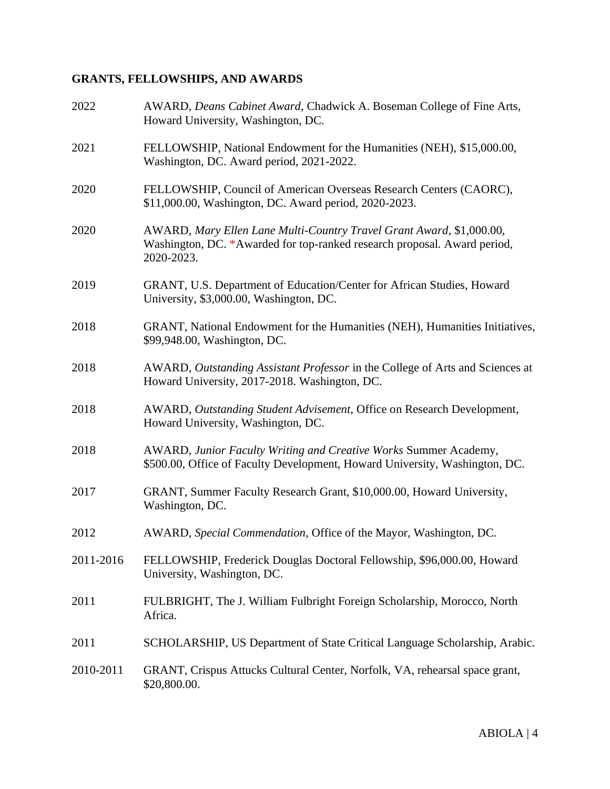# **GRANTS, FELLOWSHIPS, AND AWARDS**

| 2022      | AWARD, Deans Cabinet Award, Chadwick A. Boseman College of Fine Arts,<br>Howard University, Washington, DC.                                                    |
|-----------|----------------------------------------------------------------------------------------------------------------------------------------------------------------|
| 2021      | FELLOWSHIP, National Endowment for the Humanities (NEH), \$15,000.00,<br>Washington, DC. Award period, 2021-2022.                                              |
| 2020      | FELLOWSHIP, Council of American Overseas Research Centers (CAORC),<br>\$11,000.00, Washington, DC. Award period, 2020-2023.                                    |
| 2020      | AWARD, Mary Ellen Lane Multi-Country Travel Grant Award, \$1,000.00,<br>Washington, DC. *Awarded for top-ranked research proposal. Award period,<br>2020-2023. |
| 2019      | GRANT, U.S. Department of Education/Center for African Studies, Howard<br>University, \$3,000.00, Washington, DC.                                              |
| 2018      | GRANT, National Endowment for the Humanities (NEH), Humanities Initiatives,<br>\$99,948.00, Washington, DC.                                                    |
| 2018      | AWARD, Outstanding Assistant Professor in the College of Arts and Sciences at<br>Howard University, 2017-2018. Washington, DC.                                 |
| 2018      | AWARD, Outstanding Student Advisement, Office on Research Development,<br>Howard University, Washington, DC.                                                   |
| 2018      | AWARD, Junior Faculty Writing and Creative Works Summer Academy,<br>\$500.00, Office of Faculty Development, Howard University, Washington, DC.                |
| 2017      | GRANT, Summer Faculty Research Grant, \$10,000.00, Howard University,<br>Washington, DC.                                                                       |
| 2012      | AWARD, Special Commendation, Office of the Mayor, Washington, DC.                                                                                              |
| 2011-2016 | FELLOWSHIP, Frederick Douglas Doctoral Fellowship, \$96,000.00, Howard<br>University, Washington, DC.                                                          |
| 2011      | FULBRIGHT, The J. William Fulbright Foreign Scholarship, Morocco, North<br>Africa.                                                                             |
| 2011      | SCHOLARSHIP, US Department of State Critical Language Scholarship, Arabic.                                                                                     |
| 2010-2011 | GRANT, Crispus Attucks Cultural Center, Norfolk, VA, rehearsal space grant,<br>\$20,800.00.                                                                    |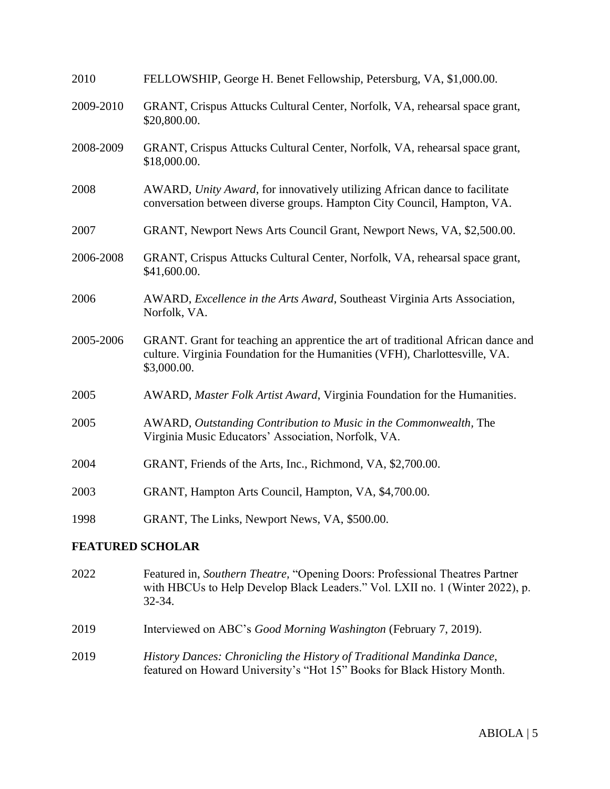| 2010      | FELLOWSHIP, George H. Benet Fellowship, Petersburg, VA, \$1,000.00.                                                                                                            |
|-----------|--------------------------------------------------------------------------------------------------------------------------------------------------------------------------------|
| 2009-2010 | GRANT, Crispus Attucks Cultural Center, Norfolk, VA, rehearsal space grant,<br>\$20,800.00.                                                                                    |
| 2008-2009 | GRANT, Crispus Attucks Cultural Center, Norfolk, VA, rehearsal space grant,<br>\$18,000.00.                                                                                    |
| 2008      | AWARD, Unity Award, for innovatively utilizing African dance to facilitate<br>conversation between diverse groups. Hampton City Council, Hampton, VA.                          |
| 2007      | GRANT, Newport News Arts Council Grant, Newport News, VA, \$2,500.00.                                                                                                          |
| 2006-2008 | GRANT, Crispus Attucks Cultural Center, Norfolk, VA, rehearsal space grant,<br>\$41,600.00.                                                                                    |
| 2006      | AWARD, Excellence in the Arts Award, Southeast Virginia Arts Association,<br>Norfolk, VA.                                                                                      |
| 2005-2006 | GRANT. Grant for teaching an apprentice the art of traditional African dance and<br>culture. Virginia Foundation for the Humanities (VFH), Charlottesville, VA.<br>\$3,000.00. |
| 2005      | AWARD, Master Folk Artist Award, Virginia Foundation for the Humanities.                                                                                                       |
| 2005      | AWARD, Outstanding Contribution to Music in the Commonwealth, The<br>Virginia Music Educators' Association, Norfolk, VA.                                                       |
| 2004      | GRANT, Friends of the Arts, Inc., Richmond, VA, \$2,700.00.                                                                                                                    |
| 2003      | GRANT, Hampton Arts Council, Hampton, VA, \$4,700.00.                                                                                                                          |
| 1998      | GRANT, The Links, Newport News, VA, \$500.00.                                                                                                                                  |
|           | <b>FEATURED SCHOLAR</b>                                                                                                                                                        |

- 2022 Featured in, *Southern Theatre,* "Opening Doors: Professional Theatres Partner with HBCUs to Help Develop Black Leaders." Vol. LXII no. 1 (Winter 2022), p. 32-34.
- 2019 Interviewed on ABC's *Good Morning Washington* (February 7, 2019).
- 2019 *History Dances: Chronicling the History of Traditional Mandinka Dance*, featured on Howard University's "Hot 15" Books for Black History Month.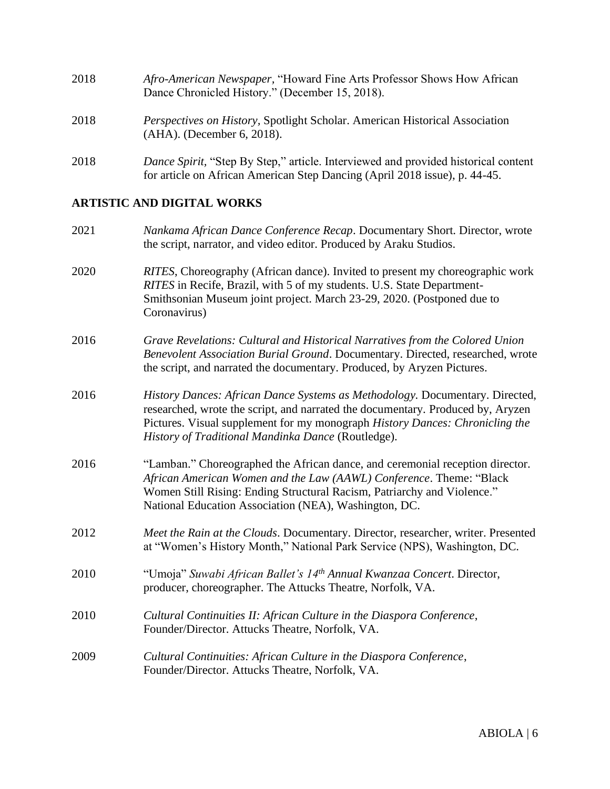| 2018 | Afro-American Newspaper, "Howard Fine Arts Professor Shows How African<br>Dance Chronicled History." (December 15, 2018).                                        |
|------|------------------------------------------------------------------------------------------------------------------------------------------------------------------|
| 2018 | <i>Perspectives on History, Spotlight Scholar. American Historical Association</i><br>(AHA). (December 6, 2018).                                                 |
| 2018 | Dance Spirit, "Step By Step," article. Interviewed and provided historical content<br>for article on African American Step Dancing (April 2018 issue), p. 44-45. |

# **ARTISTIC AND DIGITAL WORKS**

| 2021 | Nankama African Dance Conference Recap. Documentary Short. Director, wrote<br>the script, narrator, and video editor. Produced by Araku Studios.                                                                                                                                                      |
|------|-------------------------------------------------------------------------------------------------------------------------------------------------------------------------------------------------------------------------------------------------------------------------------------------------------|
| 2020 | RITES, Choreography (African dance). Invited to present my choreographic work<br>RITES in Recife, Brazil, with 5 of my students. U.S. State Department-<br>Smithsonian Museum joint project. March 23-29, 2020. (Postponed due to<br>Coronavirus)                                                     |
| 2016 | Grave Revelations: Cultural and Historical Narratives from the Colored Union<br>Benevolent Association Burial Ground. Documentary. Directed, researched, wrote<br>the script, and narrated the documentary. Produced, by Aryzen Pictures.                                                             |
| 2016 | History Dances: African Dance Systems as Methodology. Documentary. Directed,<br>researched, wrote the script, and narrated the documentary. Produced by, Aryzen<br>Pictures. Visual supplement for my monograph History Dances: Chronicling the<br>History of Traditional Mandinka Dance (Routledge). |
| 2016 | "Lamban." Choreographed the African dance, and ceremonial reception director.<br>African American Women and the Law (AAWL) Conference. Theme: "Black<br>Women Still Rising: Ending Structural Racism, Patriarchy and Violence."<br>National Education Association (NEA), Washington, DC.              |
| 2012 | Meet the Rain at the Clouds. Documentary. Director, researcher, writer. Presented<br>at "Women's History Month," National Park Service (NPS), Washington, DC.                                                                                                                                         |
| 2010 | "Umoja" Suwabi African Ballet's 14th Annual Kwanzaa Concert. Director,<br>producer, choreographer. The Attucks Theatre, Norfolk, VA.                                                                                                                                                                  |
| 2010 | Cultural Continuities II: African Culture in the Diaspora Conference,<br>Founder/Director. Attucks Theatre, Norfolk, VA.                                                                                                                                                                              |
| 2009 | Cultural Continuities: African Culture in the Diaspora Conference,<br>Founder/Director. Attucks Theatre, Norfolk, VA.                                                                                                                                                                                 |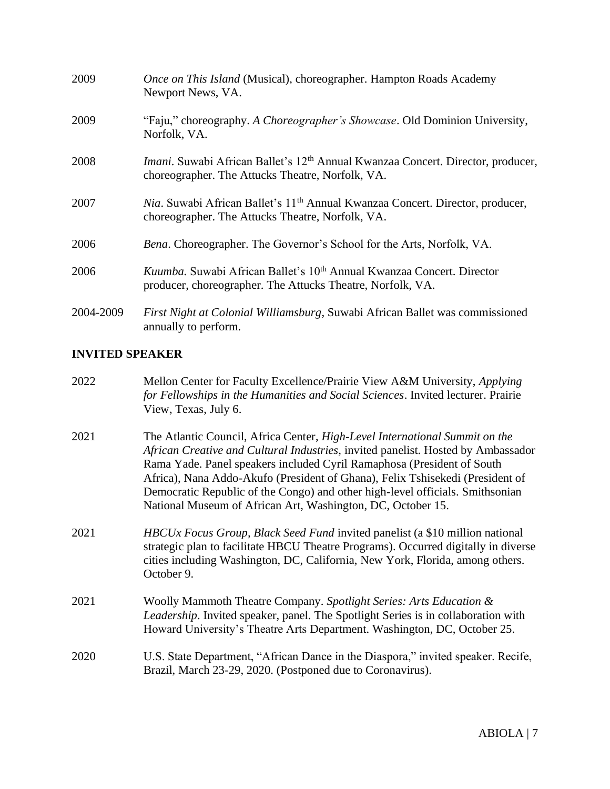| 2009      | Once on This Island (Musical), choreographer. Hampton Roads Academy<br>Newport News, VA.                                                                |
|-----------|---------------------------------------------------------------------------------------------------------------------------------------------------------|
| 2009      | "Faju," choreography. A Choreographer's Showcase. Old Dominion University,<br>Norfolk, VA.                                                              |
| 2008      | <i>Imani</i> . Suwabi African Ballet's 12 <sup>th</sup> Annual Kwanzaa Concert. Director, producer,<br>choreographer. The Attucks Theatre, Norfolk, VA. |
| 2007      | Nia. Suwabi African Ballet's 11 <sup>th</sup> Annual Kwanzaa Concert. Director, producer,<br>choreographer. The Attucks Theatre, Norfolk, VA.           |
| 2006      | Bena. Choreographer. The Governor's School for the Arts, Norfolk, VA.                                                                                   |
| 2006      | Kuumba. Suwabi African Ballet's 10 <sup>th</sup> Annual Kwanzaa Concert. Director<br>producer, choreographer. The Attucks Theatre, Norfolk, VA.         |
| 2004-2009 | First Night at Colonial Williamsburg, Suwabi African Ballet was commissioned<br>annually to perform.                                                    |

# **INVITED SPEAKER**

| 2022 | Mellon Center for Faculty Excellence/Prairie View A&M University, Applying<br>for Fellowships in the Humanities and Social Sciences. Invited lecturer. Prairie<br>View, Texas, July 6.                                                                                                                                                                                                                                                                                     |
|------|----------------------------------------------------------------------------------------------------------------------------------------------------------------------------------------------------------------------------------------------------------------------------------------------------------------------------------------------------------------------------------------------------------------------------------------------------------------------------|
| 2021 | The Atlantic Council, Africa Center, High-Level International Summit on the<br>African Creative and Cultural Industries, invited panelist. Hosted by Ambassador<br>Rama Yade. Panel speakers included Cyril Ramaphosa (President of South<br>Africa), Nana Addo-Akufo (President of Ghana), Felix Tshisekedi (President of<br>Democratic Republic of the Congo) and other high-level officials. Smithsonian<br>National Museum of African Art, Washington, DC, October 15. |
| 2021 | <i>HBCUx Focus Group, Black Seed Fund</i> invited panelist (a \$10 million national<br>strategic plan to facilitate HBCU Theatre Programs). Occurred digitally in diverse<br>cities including Washington, DC, California, New York, Florida, among others.<br>October 9.                                                                                                                                                                                                   |
| 2021 | Woolly Mammoth Theatre Company. Spotlight Series: Arts Education &<br><i>Leadership.</i> Invited speaker, panel. The Spotlight Series is in collaboration with<br>Howard University's Theatre Arts Department. Washington, DC, October 25.                                                                                                                                                                                                                                 |
| 2020 | U.S. State Department, "African Dance in the Diaspora," invited speaker. Recife,<br>Brazil, March 23-29, 2020. (Postponed due to Coronavirus).                                                                                                                                                                                                                                                                                                                             |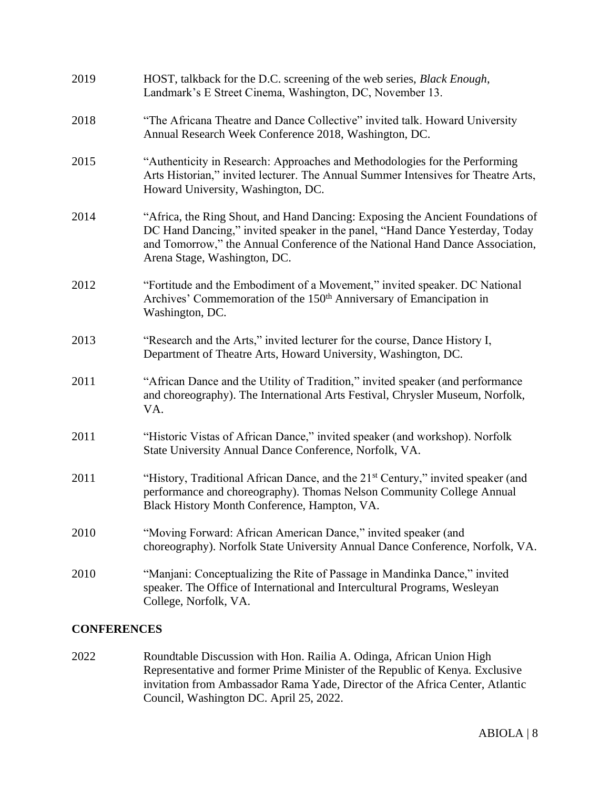| 2019               | HOST, talkback for the D.C. screening of the web series, <i>Black Enough</i> ,<br>Landmark's E Street Cinema, Washington, DC, November 13.                                                                                                                                     |
|--------------------|--------------------------------------------------------------------------------------------------------------------------------------------------------------------------------------------------------------------------------------------------------------------------------|
| 2018               | "The Africana Theatre and Dance Collective" invited talk. Howard University<br>Annual Research Week Conference 2018, Washington, DC.                                                                                                                                           |
| 2015               | "Authenticity in Research: Approaches and Methodologies for the Performing<br>Arts Historian," invited lecturer. The Annual Summer Intensives for Theatre Arts,<br>Howard University, Washington, DC.                                                                          |
| 2014               | "Africa, the Ring Shout, and Hand Dancing: Exposing the Ancient Foundations of<br>DC Hand Dancing," invited speaker in the panel, "Hand Dance Yesterday, Today<br>and Tomorrow," the Annual Conference of the National Hand Dance Association,<br>Arena Stage, Washington, DC. |
| 2012               | "Fortitude and the Embodiment of a Movement," invited speaker. DC National<br>Archives' Commemoration of the 150 <sup>th</sup> Anniversary of Emancipation in<br>Washington, DC.                                                                                               |
| 2013               | "Research and the Arts," invited lecturer for the course, Dance History I,<br>Department of Theatre Arts, Howard University, Washington, DC.                                                                                                                                   |
| 2011               | "African Dance and the Utility of Tradition," invited speaker (and performance<br>and choreography). The International Arts Festival, Chrysler Museum, Norfolk,<br>VA.                                                                                                         |
| 2011               | "Historic Vistas of African Dance," invited speaker (and workshop). Norfolk<br>State University Annual Dance Conference, Norfolk, VA.                                                                                                                                          |
| 2011               | "History, Traditional African Dance, and the 21 <sup>st</sup> Century," invited speaker (and<br>performance and choreography). Thomas Nelson Community College Annual<br>Black History Month Conference, Hampton, VA.                                                          |
| 2010               | "Moving Forward: African American Dance," invited speaker (and<br>choreography). Norfolk State University Annual Dance Conference, Norfolk, VA.                                                                                                                                |
| 2010               | "Manjani: Conceptualizing the Rite of Passage in Mandinka Dance," invited<br>speaker. The Office of International and Intercultural Programs, Wesleyan<br>College, Norfolk, VA.                                                                                                |
| <b>CONFERENCES</b> |                                                                                                                                                                                                                                                                                |

2022 Roundtable Discussion with Hon. Railia A. Odinga, African Union High Representative and former Prime Minister of the Republic of Kenya. Exclusive invitation from Ambassador Rama Yade, Director of the Africa Center, Atlantic Council, Washington DC. April 25, 2022.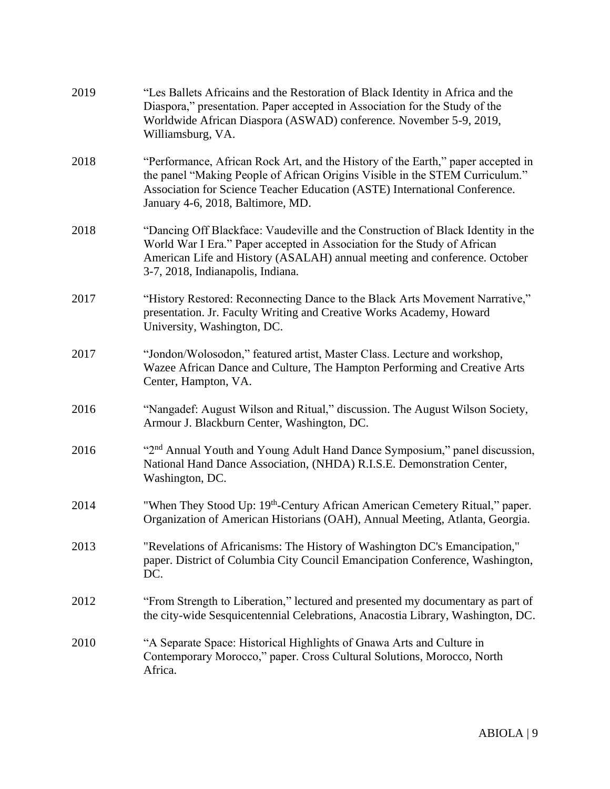| 2019 | "Les Ballets Africains and the Restoration of Black Identity in Africa and the<br>Diaspora," presentation. Paper accepted in Association for the Study of the<br>Worldwide African Diaspora (ASWAD) conference. November 5-9, 2019,<br>Williamsburg, VA.                            |
|------|-------------------------------------------------------------------------------------------------------------------------------------------------------------------------------------------------------------------------------------------------------------------------------------|
| 2018 | "Performance, African Rock Art, and the History of the Earth," paper accepted in<br>the panel "Making People of African Origins Visible in the STEM Curriculum."<br>Association for Science Teacher Education (ASTE) International Conference.<br>January 4-6, 2018, Baltimore, MD. |
| 2018 | "Dancing Off Blackface: Vaudeville and the Construction of Black Identity in the<br>World War I Era." Paper accepted in Association for the Study of African<br>American Life and History (ASALAH) annual meeting and conference. October<br>3-7, 2018, Indianapolis, Indiana.      |
| 2017 | "History Restored: Reconnecting Dance to the Black Arts Movement Narrative,"<br>presentation. Jr. Faculty Writing and Creative Works Academy, Howard<br>University, Washington, DC.                                                                                                 |
| 2017 | "Jondon/Wolosodon," featured artist, Master Class. Lecture and workshop,<br>Wazee African Dance and Culture, The Hampton Performing and Creative Arts<br>Center, Hampton, VA.                                                                                                       |
| 2016 | "Nangadef: August Wilson and Ritual," discussion. The August Wilson Society,<br>Armour J. Blackburn Center, Washington, DC.                                                                                                                                                         |
| 2016 | "2 <sup>nd</sup> Annual Youth and Young Adult Hand Dance Symposium," panel discussion,<br>National Hand Dance Association, (NHDA) R.I.S.E. Demonstration Center,<br>Washington, DC.                                                                                                 |
| 2014 | "When They Stood Up: 19 <sup>th</sup> -Century African American Cemetery Ritual," paper.<br>Organization of American Historians (OAH), Annual Meeting, Atlanta, Georgia.                                                                                                            |
| 2013 | "Revelations of Africanisms: The History of Washington DC's Emancipation,"<br>paper. District of Columbia City Council Emancipation Conference, Washington,<br>DC.                                                                                                                  |
| 2012 | "From Strength to Liberation," lectured and presented my documentary as part of<br>the city-wide Sesquicentennial Celebrations, Anacostia Library, Washington, DC.                                                                                                                  |
| 2010 | "A Separate Space: Historical Highlights of Gnawa Arts and Culture in<br>Contemporary Morocco," paper. Cross Cultural Solutions, Morocco, North<br>Africa.                                                                                                                          |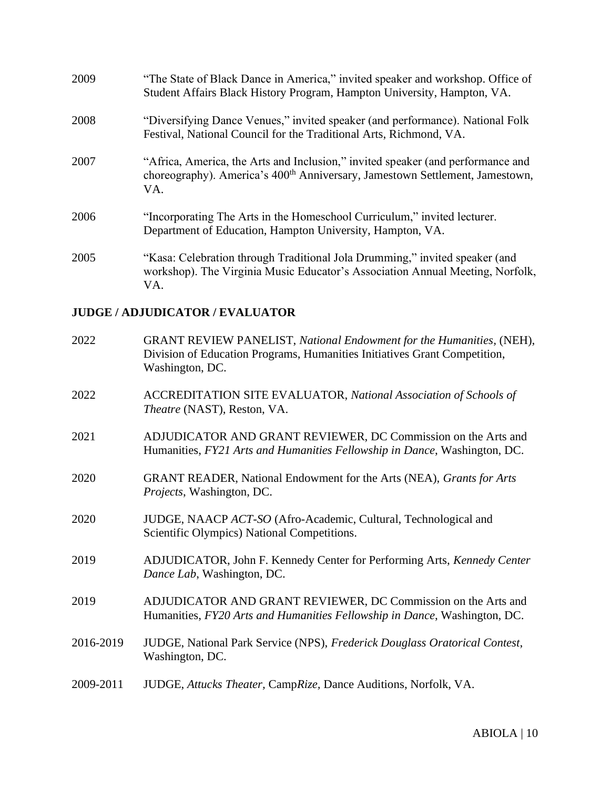| 2009 | "The State of Black Dance in America," invited speaker and workshop. Office of<br>Student Affairs Black History Program, Hampton University, Hampton, VA.                          |
|------|------------------------------------------------------------------------------------------------------------------------------------------------------------------------------------|
| 2008 | "Diversifying Dance Venues," invited speaker (and performance). National Folk<br>Festival, National Council for the Traditional Arts, Richmond, VA.                                |
| 2007 | "Africa, America, the Arts and Inclusion," invited speaker (and performance and<br>choreography). America's 400 <sup>th</sup> Anniversary, Jamestown Settlement, Jamestown,<br>VA. |
| 2006 | "Incorporating The Arts in the Homeschool Curriculum," invited lecturer.<br>Department of Education, Hampton University, Hampton, VA.                                              |
| 2005 | "Kasa: Celebration through Traditional Jola Drumming," invited speaker (and<br>workshop). The Virginia Music Educator's Association Annual Meeting, Norfolk,<br>VA.                |

## **JUDGE / ADJUDICATOR / EVALUATOR**

| 2022      | GRANT REVIEW PANELIST, National Endowment for the Humanities, (NEH),<br>Division of Education Programs, Humanities Initiatives Grant Competition,<br>Washington, DC. |
|-----------|----------------------------------------------------------------------------------------------------------------------------------------------------------------------|
| 2022      | <b>ACCREDITATION SITE EVALUATOR, National Association of Schools of</b><br>Theatre (NAST), Reston, VA.                                                               |
| 2021      | ADJUDICATOR AND GRANT REVIEWER, DC Commission on the Arts and<br>Humanities, FY21 Arts and Humanities Fellowship in Dance, Washington, DC.                           |
| 2020      | GRANT READER, National Endowment for the Arts (NEA), Grants for Arts<br><i>Projects</i> , Washington, DC.                                                            |
| 2020      | JUDGE, NAACP ACT-SO (Afro-Academic, Cultural, Technological and<br>Scientific Olympics) National Competitions.                                                       |
| 2019      | ADJUDICATOR, John F. Kennedy Center for Performing Arts, Kennedy Center<br>Dance Lab, Washington, DC.                                                                |
| 2019      | ADJUDICATOR AND GRANT REVIEWER, DC Commission on the Arts and<br>Humanities, FY20 Arts and Humanities Fellowship in Dance, Washington, DC.                           |
| 2016-2019 | JUDGE, National Park Service (NPS), Frederick Douglass Oratorical Contest,<br>Washington, DC.                                                                        |
| 2009-2011 | JUDGE, Attucks Theater, CampRize, Dance Auditions, Norfolk, VA.                                                                                                      |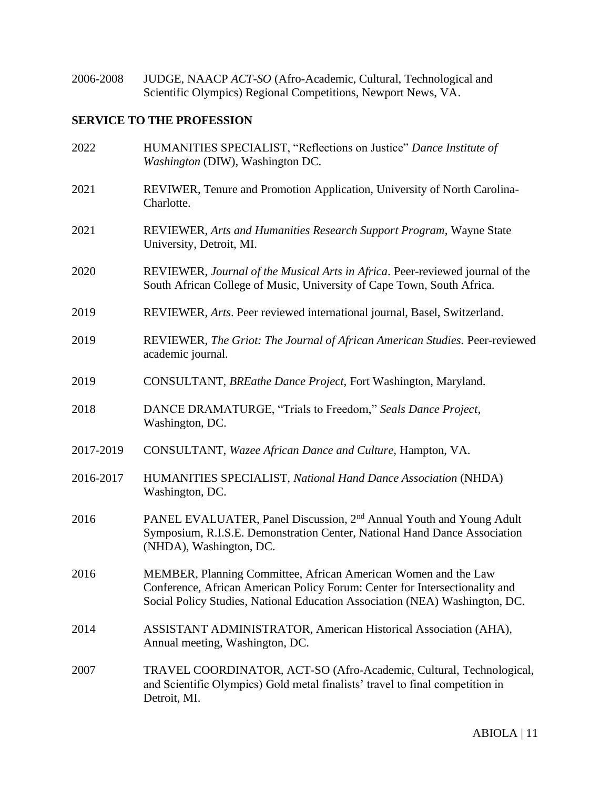2006-2008 JUDGE, NAACP *ACT-SO* (Afro-Academic, Cultural, Technological and Scientific Olympics) Regional Competitions, Newport News, VA.

## **SERVICE TO THE PROFESSION**

| 2022      | HUMANITIES SPECIALIST, "Reflections on Justice" Dance Institute of<br>Washington (DIW), Washington DC.                                                                                                                       |
|-----------|------------------------------------------------------------------------------------------------------------------------------------------------------------------------------------------------------------------------------|
| 2021      | REVIWER, Tenure and Promotion Application, University of North Carolina-<br>Charlotte.                                                                                                                                       |
| 2021      | REVIEWER, Arts and Humanities Research Support Program, Wayne State<br>University, Detroit, MI.                                                                                                                              |
| 2020      | REVIEWER, Journal of the Musical Arts in Africa. Peer-reviewed journal of the<br>South African College of Music, University of Cape Town, South Africa.                                                                      |
| 2019      | REVIEWER, Arts. Peer reviewed international journal, Basel, Switzerland.                                                                                                                                                     |
| 2019      | REVIEWER, The Griot: The Journal of African American Studies. Peer-reviewed<br>academic journal.                                                                                                                             |
| 2019      | CONSULTANT, BREathe Dance Project, Fort Washington, Maryland.                                                                                                                                                                |
| 2018      | DANCE DRAMATURGE, "Trials to Freedom," Seals Dance Project,<br>Washington, DC.                                                                                                                                               |
| 2017-2019 | CONSULTANT, Wazee African Dance and Culture, Hampton, VA.                                                                                                                                                                    |
| 2016-2017 | HUMANITIES SPECIALIST, National Hand Dance Association (NHDA)<br>Washington, DC.                                                                                                                                             |
| 2016      | PANEL EVALUATER, Panel Discussion, 2 <sup>nd</sup> Annual Youth and Young Adult<br>Symposium, R.I.S.E. Demonstration Center, National Hand Dance Association<br>(NHDA), Washington, DC.                                      |
| 2016      | MEMBER, Planning Committee, African American Women and the Law<br>Conference, African American Policy Forum: Center for Intersectionality and<br>Social Policy Studies, National Education Association (NEA) Washington, DC. |
| 2014      | ASSISTANT ADMINISTRATOR, American Historical Association (AHA),<br>Annual meeting, Washington, DC.                                                                                                                           |
| 2007      | TRAVEL COORDINATOR, ACT-SO (Afro-Academic, Cultural, Technological,<br>and Scientific Olympics) Gold metal finalists' travel to final competition in<br>Detroit, MI.                                                         |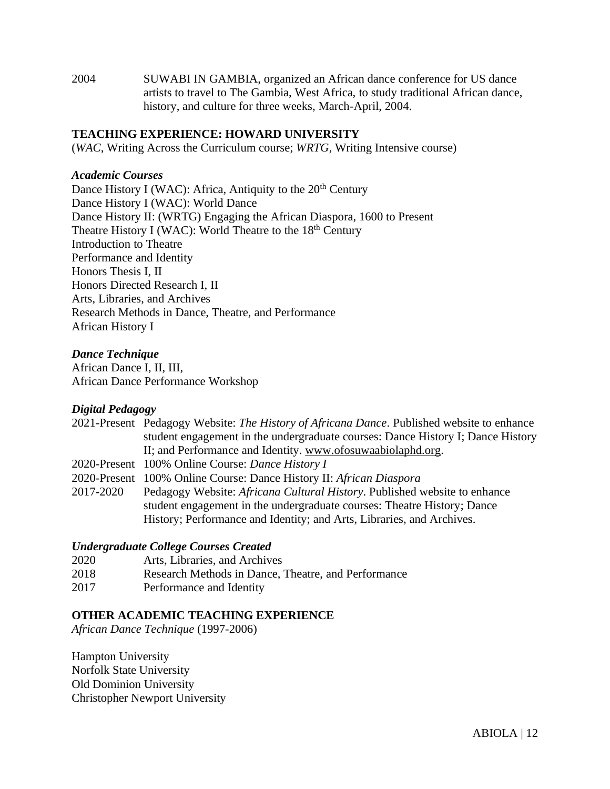2004 SUWABI IN GAMBIA, organized an African dance conference for US dance artists to travel to The Gambia, West Africa, to study traditional African dance, history, and culture for three weeks, March-April, 2004.

#### **TEACHING EXPERIENCE: HOWARD UNIVERSITY**

(*WAC*, Writing Across the Curriculum course; *WRTG*, Writing Intensive course)

#### *Academic Courses*

Dance History I (WAC): Africa, Antiquity to the  $20<sup>th</sup>$  Century Dance History I (WAC): World Dance Dance History II: (WRTG) Engaging the African Diaspora, 1600 to Present Theatre History I (WAC): World Theatre to the  $18<sup>th</sup>$  Century Introduction to Theatre Performance and Identity Honors Thesis I, II Honors Directed Research I, II Arts, Libraries, and Archives Research Methods in Dance, Theatre, and Performance African History I

#### *Dance Technique*

African Dance I, II, III, African Dance Performance Workshop

#### *Digital Pedagogy*

|           | 2021-Present Pedagogy Website: The History of Africana Dance. Published website to enhance |
|-----------|--------------------------------------------------------------------------------------------|
|           | student engagement in the undergraduate courses: Dance History I; Dance History            |
|           | II; and Performance and Identity. www.ofosuwaabiolaphd.org.                                |
|           | 2020-Present 100% Online Course: Dance History I                                           |
|           | 2020-Present 100% Online Course: Dance History II: African Diaspora                        |
| 2017-2020 | Pedagogy Website: <i>Africana Cultural History</i> . Published website to enhance          |
|           | student engagement in the undergraduate courses: Theatre History; Dance                    |
|           | History; Performance and Identity; and Arts, Libraries, and Archives.                      |

#### *Undergraduate College Courses Created*

| 2020 | Arts, Libraries, and Archives                       |
|------|-----------------------------------------------------|
| 2018 | Research Methods in Dance, Theatre, and Performance |
| 2017 | Performance and Identity                            |

#### **OTHER ACADEMIC TEACHING EXPERIENCE**

*African Dance Technique* (1997-2006)

Hampton University Norfolk State University Old Dominion University Christopher Newport University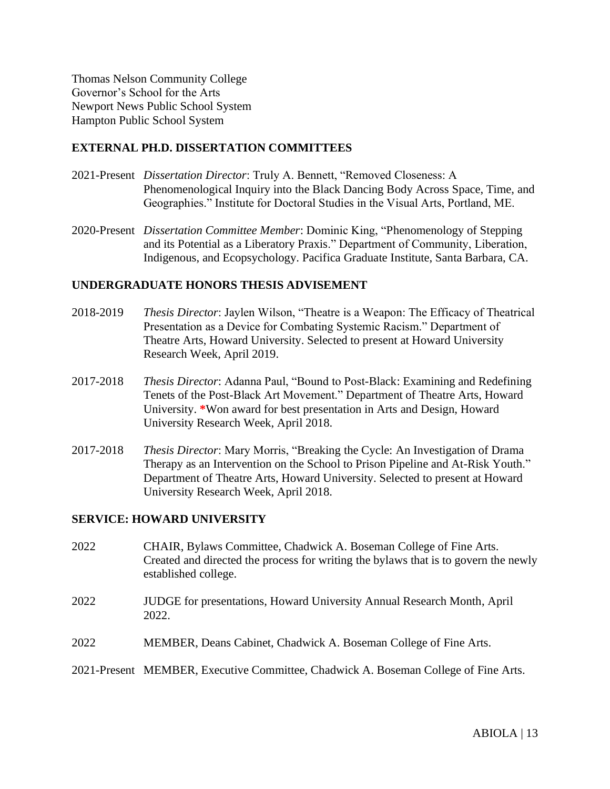Thomas Nelson Community College Governor's School for the Arts Newport News Public School System Hampton Public School System

#### **EXTERNAL PH.D. DISSERTATION COMMITTEES**

- 2021-Present *Dissertation Director*: Truly A. Bennett, "Removed Closeness: A Phenomenological Inquiry into the Black Dancing Body Across Space, Time, and Geographies." Institute for Doctoral Studies in the Visual Arts, Portland, ME.
- 2020-Present *Dissertation Committee Member*: Dominic King, "Phenomenology of Stepping and its Potential as a Liberatory Praxis." Department of Community, Liberation, Indigenous, and Ecopsychology. Pacifica Graduate Institute, Santa Barbara, CA.

#### **UNDERGRADUATE HONORS THESIS ADVISEMENT**

- 2018-2019 *Thesis Director*: Jaylen Wilson, "Theatre is a Weapon: The Efficacy of Theatrical Presentation as a Device for Combating Systemic Racism." Department of Theatre Arts, Howard University. Selected to present at Howard University Research Week, April 2019.
- 2017-2018 *Thesis Director*: Adanna Paul, "Bound to Post-Black: Examining and Redefining Tenets of the Post-Black Art Movement." Department of Theatre Arts, Howard University. **\***Won award for best presentation in Arts and Design, Howard University Research Week, April 2018.
- 2017-2018 *Thesis Director*: Mary Morris, "Breaking the Cycle: An Investigation of Drama Therapy as an Intervention on the School to Prison Pipeline and At-Risk Youth." Department of Theatre Arts, Howard University. Selected to present at Howard University Research Week, April 2018.

#### **SERVICE: HOWARD UNIVERSITY**

- 2022 CHAIR, Bylaws Committee, Chadwick A. Boseman College of Fine Arts. Created and directed the process for writing the bylaws that is to govern the newly established college.
- 2022 JUDGE for presentations, Howard University Annual Research Month, April 2022.
- 2022 MEMBER, Deans Cabinet, Chadwick A. Boseman College of Fine Arts.

#### 2021-Present MEMBER, Executive Committee, Chadwick A. Boseman College of Fine Arts.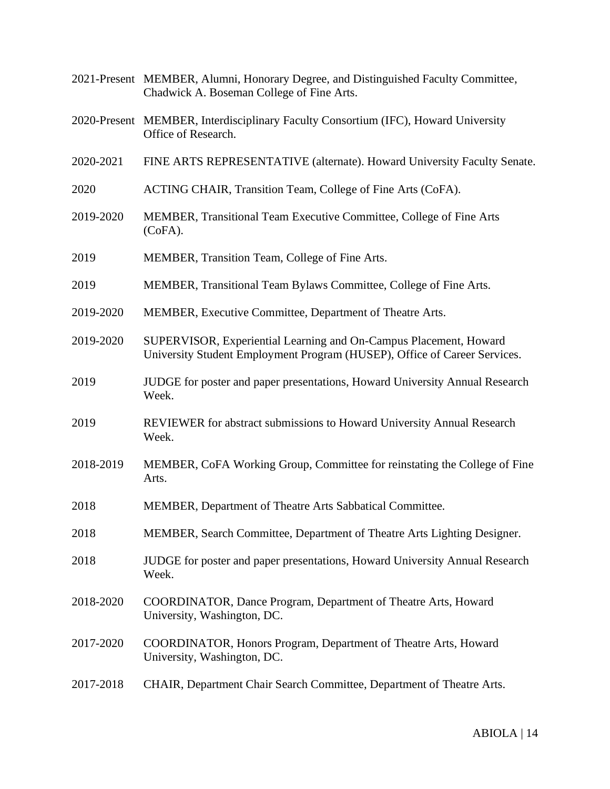2021-Present MEMBER, Alumni, Honorary Degree, and Distinguished Faculty Committee, Chadwick A. Boseman College of Fine Arts. 2020-Present MEMBER, Interdisciplinary Faculty Consortium (IFC), Howard University Office of Research. 2020-2021 FINE ARTS REPRESENTATIVE (alternate). Howard University Faculty Senate. 2020 ACTING CHAIR, Transition Team, College of Fine Arts (CoFA). 2019-2020 MEMBER, Transitional Team Executive Committee, College of Fine Arts (CoFA). 2019 MEMBER, Transition Team, College of Fine Arts. 2019 MEMBER, Transitional Team Bylaws Committee, College of Fine Arts. 2019-2020 MEMBER, Executive Committee, Department of Theatre Arts. 2019-2020 SUPERVISOR, Experiential Learning and On-Campus Placement, Howard University Student Employment Program (HUSEP), Office of Career Services. 2019 JUDGE for poster and paper presentations, Howard University Annual Research Week. 2019 REVIEWER for abstract submissions to Howard University Annual Research Week. 2018-2019 MEMBER, CoFA Working Group, Committee for reinstating the College of Fine Arts. 2018 MEMBER, Department of Theatre Arts Sabbatical Committee. 2018 MEMBER, Search Committee, Department of Theatre Arts Lighting Designer. 2018 JUDGE for poster and paper presentations, Howard University Annual Research Week. 2018-2020 COORDINATOR, Dance Program, Department of Theatre Arts, Howard University, Washington, DC. 2017-2020 COORDINATOR, Honors Program, Department of Theatre Arts, Howard University, Washington, DC. 2017-2018 CHAIR, Department Chair Search Committee, Department of Theatre Arts.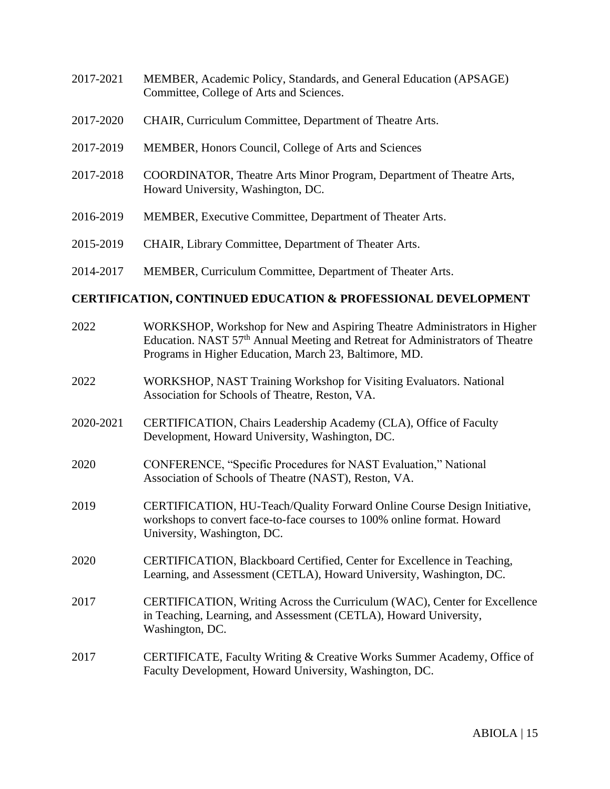- 2017-2021 MEMBER, Academic Policy, Standards, and General Education (APSAGE) Committee, College of Arts and Sciences.
- 2017-2020 CHAIR, Curriculum Committee, Department of Theatre Arts.
- 2017-2019 MEMBER, Honors Council, College of Arts and Sciences
- 2017-2018 COORDINATOR, Theatre Arts Minor Program, Department of Theatre Arts, Howard University, Washington, DC.
- 2016-2019 MEMBER, Executive Committee, Department of Theater Arts.
- 2015-2019 CHAIR, Library Committee, Department of Theater Arts.
- 2014-2017 MEMBER, Curriculum Committee, Department of Theater Arts.

#### **CERTIFICATION, CONTINUED EDUCATION & PROFESSIONAL DEVELOPMENT**

| 2022      | WORKSHOP, Workshop for New and Aspiring Theatre Administrators in Higher<br>Education. NAST 57 <sup>th</sup> Annual Meeting and Retreat for Administrators of Theatre<br>Programs in Higher Education, March 23, Baltimore, MD. |
|-----------|---------------------------------------------------------------------------------------------------------------------------------------------------------------------------------------------------------------------------------|
| 2022      | WORKSHOP, NAST Training Workshop for Visiting Evaluators. National<br>Association for Schools of Theatre, Reston, VA.                                                                                                           |
| 2020-2021 | CERTIFICATION, Chairs Leadership Academy (CLA), Office of Faculty<br>Development, Howard University, Washington, DC.                                                                                                            |
| 2020      | CONFERENCE, "Specific Procedures for NAST Evaluation," National<br>Association of Schools of Theatre (NAST), Reston, VA.                                                                                                        |
| 2019      | CERTIFICATION, HU-Teach/Quality Forward Online Course Design Initiative,<br>workshops to convert face-to-face courses to 100% online format. Howard<br>University, Washington, DC.                                              |
| 2020      | CERTIFICATION, Blackboard Certified, Center for Excellence in Teaching,<br>Learning, and Assessment (CETLA), Howard University, Washington, DC.                                                                                 |
| 2017      | CERTIFICATION, Writing Across the Curriculum (WAC), Center for Excellence<br>in Teaching, Learning, and Assessment (CETLA), Howard University,<br>Washington, DC.                                                               |
| 2017      | CERTIFICATE, Faculty Writing & Creative Works Summer Academy, Office of<br>Faculty Development, Howard University, Washington, DC.                                                                                              |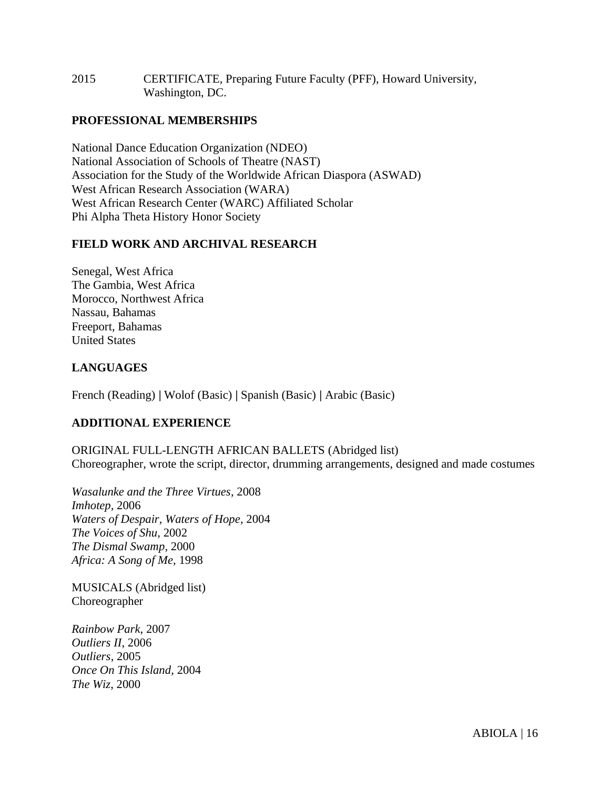2015 CERTIFICATE, Preparing Future Faculty (PFF), Howard University, Washington, DC.

#### **PROFESSIONAL MEMBERSHIPS**

National Dance Education Organization (NDEO) National Association of Schools of Theatre (NAST) Association for the Study of the Worldwide African Diaspora (ASWAD) West African Research Association (WARA) West African Research Center (WARC) Affiliated Scholar Phi Alpha Theta History Honor Society

#### **FIELD WORK AND ARCHIVAL RESEARCH**

Senegal, West Africa The Gambia, West Africa Morocco, Northwest Africa Nassau, Bahamas Freeport, Bahamas United States

#### **LANGUAGES**

French (Reading) **|** Wolof (Basic) **|** Spanish (Basic) **|** Arabic (Basic)

#### **ADDITIONAL EXPERIENCE**

ORIGINAL FULL-LENGTH AFRICAN BALLETS (Abridged list) Choreographer, wrote the script, director, drumming arrangements, designed and made costumes

*Wasalunke and the Three Virtues*, 2008 *Imhotep,* 2006 *Waters of Despair, Waters of Hope*, 2004 *The Voices of Shu,* 2002 *The Dismal Swamp*, 2000 *Africa: A Song of Me,* 1998

MUSICALS (Abridged list) Choreographer

*Rainbow Park*, 2007 *Outliers II*, 2006 *Outliers*, 2005 *Once On This Island*, 2004 *The Wiz*, 2000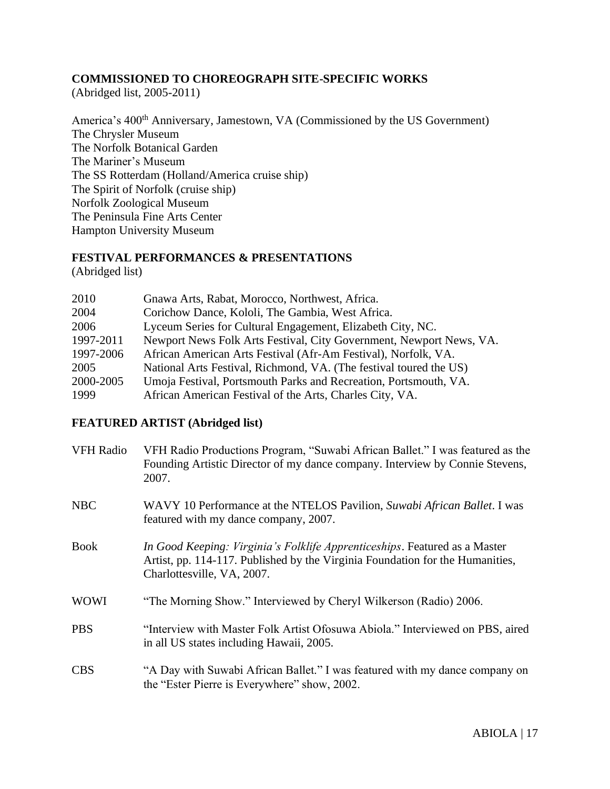#### **COMMISSIONED TO CHOREOGRAPH SITE-SPECIFIC WORKS**

(Abridged list, 2005-2011)

America's 400<sup>th</sup> Anniversary, Jamestown, VA (Commissioned by the US Government) The Chrysler Museum The Norfolk Botanical Garden The Mariner's Museum The SS Rotterdam (Holland/America cruise ship) The Spirit of Norfolk (cruise ship) Norfolk Zoological Museum The Peninsula Fine Arts Center Hampton University Museum

#### **FESTIVAL PERFORMANCES & PRESENTATIONS**

(Abridged list)

| Gnawa Arts, Rabat, Morocco, Northwest, Africa.<br>2010                           |  |
|----------------------------------------------------------------------------------|--|
| Corichow Dance, Kololi, The Gambia, West Africa.<br>2004                         |  |
| Lyceum Series for Cultural Engagement, Elizabeth City, NC.<br>2006               |  |
| Newport News Folk Arts Festival, City Government, Newport News, VA.<br>1997-2011 |  |
| African American Arts Festival (Afr-Am Festival), Norfolk, VA.<br>1997-2006      |  |
| National Arts Festival, Richmond, VA. (The festival toured the US)<br>2005       |  |
| 2000-2005<br>Umoja Festival, Portsmouth Parks and Recreation, Portsmouth, VA.    |  |
| 1999<br>African American Festival of the Arts, Charles City, VA.                 |  |

## **FEATURED ARTIST (Abridged list)**

| <b>VFH Radio</b> | VFH Radio Productions Program, "Suwabi African Ballet." I was featured as the<br>Founding Artistic Director of my dance company. Interview by Connie Stevens,<br>2007.                    |
|------------------|-------------------------------------------------------------------------------------------------------------------------------------------------------------------------------------------|
| <b>NBC</b>       | WAVY 10 Performance at the NTELOS Pavilion, Suwabi African Ballet. I was<br>featured with my dance company, 2007.                                                                         |
| <b>Book</b>      | In Good Keeping: Virginia's Folklife Apprenticeships. Featured as a Master<br>Artist, pp. 114-117. Published by the Virginia Foundation for the Humanities,<br>Charlottesville, VA, 2007. |
| <b>WOWI</b>      | "The Morning Show." Interviewed by Cheryl Wilkerson (Radio) 2006.                                                                                                                         |
| <b>PBS</b>       | "Interview with Master Folk Artist Ofosuwa Abiola." Interviewed on PBS, aired<br>in all US states including Hawaii, 2005.                                                                 |
| <b>CBS</b>       | "A Day with Suwabi African Ballet." I was featured with my dance company on<br>the "Ester Pierre is Everywhere" show, 2002.                                                               |